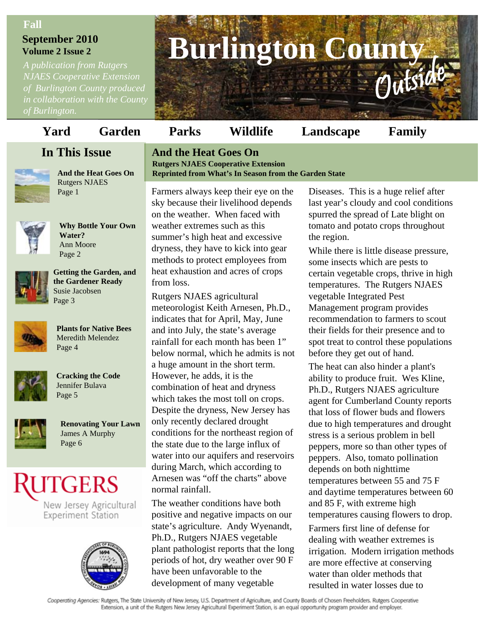#### **Fall**

# **September 2010 Volume 2 Issue 2**

*A publication from Rutgers NJAES Cooperative Extension of Burlington County produced in collaboration with the County* 

# **Burlington Count** Outside

# **Yard Garden Parks Wildlife Landscape Family**

# **In This Issue**



**And the Heat Goes On** Rutgers NJAES



**Why Bottle Your Own Water?** Ann Moore Page 2



**Getting the Garden, and the Gardener Ready**  Susie Jacobsen Page 3



**Plants for Native Bees** Meredith Melendez Page 4



**Cracking the Code** Jennifer Bulava Page 5



**Renovating Your Lawn** James A Murphy Page 6

# **UTGERS**

New Jersey Agricultural **Experiment Station** 



#### **And the Heat Goes On Rutgers NJAES Cooperative Extension Reprinted from What's In Season from the Garden State**

Page 1 Farmers always keep their eye on the sky because their livelihood depends on the weather. When faced with weather extremes such as this summer's high heat and excessive dryness, they have to kick into gear methods to protect employees from heat exhaustion and acres of crops from loss.

> Rutgers NJAES agricultural meteorologist Keith Arnesen, Ph.D., indicates that for April, May, June and into July, the state's average rainfall for each month has been 1" below normal, which he admits is not a huge amount in the short term. However, he adds, it is the combination of heat and dryness which takes the most toll on crops. Despite the dryness, New Jersey has only recently declared drought conditions for the northeast region of the state due to the large influx of water into our aquifers and reservoirs during March, which according to Arnesen was "off the charts" above normal rainfall.

> The weather conditions have both positive and negative impacts on our state's agriculture. Andy Wyenandt, Ph.D., Rutgers NJAES vegetable plant pathologist reports that the long periods of hot, dry weather over 90 F have been unfavorable to the development of many vegetable

Diseases. This is a huge relief after last year's cloudy and cool conditions spurred the spread of Late blight on tomato and potato crops throughout the region.

While there is little disease pressure, some insects which are pests to certain vegetable crops, thrive in high temperatures. The Rutgers NJAES vegetable Integrated Pest Management program provides recommendation to farmers to scout their fields for their presence and to spot treat to control these populations before they get out of hand.

The heat can also hinder a plant's ability to produce fruit. Wes Kline, Ph.D., Rutgers NJAES agriculture agent for Cumberland County reports that loss of flower buds and flowers due to high temperatures and drought stress is a serious problem in bell peppers, more so than other types of peppers. Also, tomato pollination depends on both nighttime temperatures between 55 and 75 F and daytime temperatures between 60 and 85 F, with extreme high temperatures causing flowers to drop.

Farmers first line of defense for dealing with weather extremes is irrigation. Modern irrigation methods are more effective at conserving water than older methods that resulted in water losses due to

Cooperating Agencies: Rutgers, The State University of New Jersey, U.S. Department of Agriculture, and County Boards of Chosen Freeholders. Rutgers Cooperative Extension, a unit of the Rutgers New Jersey Agricultural Experiment Station, is an equal opportunity program provider and employer.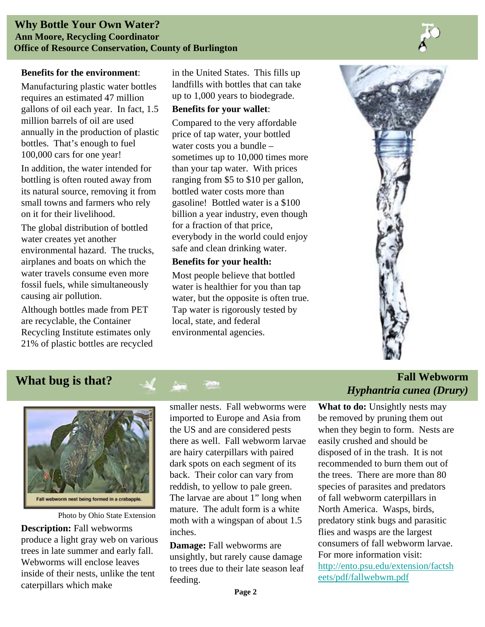#### **Benefits for the environment**:

Manufacturing plastic water bottles requires an estimated 47 million gallons of oil each year. In fact, 1.5 million barrels of oil are used annually in the production of plastic bottles. That's enough to fuel 100,000 cars for one year!

In addition, the water intended for bottling is often routed away from its natural source, removing it from small towns and farmers who rely on it for their livelihood.

The global distribution of bottled water creates yet another environmental hazard. The trucks, airplanes and boats on which the water travels consume even more fossil fuels, while simultaneously causing air pollution.

Although bottles made from PET are recyclable, the Container Recycling Institute estimates only 21% of plastic bottles are recycled in the United States. This fills up landfills with bottles that can take up to 1,000 years to biodegrade.

#### **Benefits for your wallet**:

Compared to the very affordable price of tap water, your bottled water costs you a bundle – sometimes up to 10,000 times more than your tap water. With prices ranging from \$5 to \$10 per gallon, bottled water costs more than gasoline! Bottled water is a \$100 billion a year industry, even though for a fraction of that price, everybody in the world could enjoy safe and clean drinking water.

#### **Benefits for your health:**

Most people believe that bottled water is healthier for you than tap water, but the opposite is often true. Tap water is rigorously tested by local, state, and federal environmental agencies.





Photo by Ohio State Extension

**Description:** Fall webworms produce a light gray web on various trees in late summer and early fall. Webworms will enclose leaves inside of their nests, unlike the tent caterpillars which make

smaller nests. Fall webworms were imported to Europe and Asia from the US and are considered pests there as well. Fall webworm larvae are hairy caterpillars with paired dark spots on each segment of its back. Their color can vary from reddish, to yellow to pale green. The larvae are about 1" long when mature. The adult form is a white moth with a wingspan of about 1.5 inches.

**Damage:** Fall webworms are unsightly, but rarely cause damage to trees due to their late season leaf feeding.

## *What bug is that?* **<b>***M Fall Webworm Fall Webworm Hyphantria cunea (Drury)*

**What to do:** Unsightly nests may be removed by pruning them out when they begin to form. Nests are easily crushed and should be disposed of in the trash. It is not recommended to burn them out of the trees. There are more than 80 species of parasites and predators of fall webworm caterpillars in North America. Wasps, birds, predatory stink bugs and parasitic flies and wasps are the largest consumers of fall webworm larvae. For more information visit: [http://ento.psu.edu/extension/factsh](http://ento.psu.edu/extension/factsheets/pdf/fallwebwm.pdf) [eets/pdf/fallwebwm.pdf](http://ento.psu.edu/extension/factsheets/pdf/fallwebwm.pdf)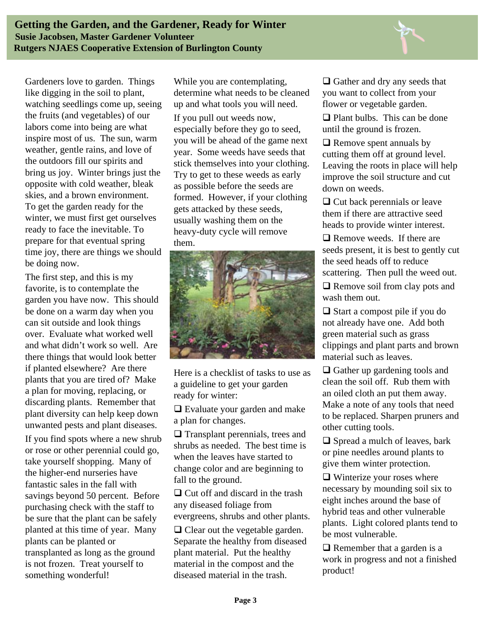

Gardeners love to garden. Things like digging in the soil to plant, watching seedlings come up, seeing the fruits (and vegetables) of our labors come into being are what inspire most of us. The sun, warm weather, gentle rains, and love of the outdoors fill our spirits and bring us joy. Winter brings just the opposite with cold weather, bleak skies, and a brown environment. To get the garden ready for the winter, we must first get ourselves ready to face the inevitable. To prepare for that eventual spring time joy, there are things we should be doing now.

The first step, and this is my favorite, is to contemplate the garden you have now. This should be done on a warm day when you can sit outside and look things over. Evaluate what worked well and what didn't work so well. Are there things that would look better if planted elsewhere? Are there plants that you are tired of? Make a plan for moving, replacing, or discarding plants. Remember that plant diversity can help keep down unwanted pests and plant diseases.

If you find spots where a new shrub or rose or other perennial could go, take yourself shopping. Many of the higher-end nurseries have fantastic sales in the fall with savings beyond 50 percent. Before purchasing check with the staff to be sure that the plant can be safely planted at this time of year. Many plants can be planted or transplanted as long as the ground is not frozen. Treat yourself to something wonderful!

While you are contemplating, determine what needs to be cleaned up and what tools you will need.

If you pull out weeds now, especially before they go to seed, you will be ahead of the game next year. Some weeds have seeds that stick themselves into your clothing. Try to get to these weeds as early as possible before the seeds are formed. However, if your clothing gets attacked by these seeds, usually washing them on the heavy-duty cycle will remove them.



Here is a checklist of tasks to use as a guideline to get your garden ready for winter:

□ Evaluate your garden and make a plan for changes.

 $\Box$  Transplant perennials, trees and shrubs as needed. The best time is when the leaves have started to change color and are beginning to fall to the ground.

 $\Box$  Cut off and discard in the trash any diseased foliage from evergreens, shrubs and other plants.

 $\Box$  Clear out the vegetable garden. Separate the healthy from diseased plant material. Put the healthy material in the compost and the diseased material in the trash.

 $\Box$  Gather and dry any seeds that you want to collect from your flower or vegetable garden.

 $\Box$  Plant bulbs. This can be done until the ground is frozen.

 $\Box$  Remove spent annuals by cutting them off at ground level. Leaving the roots in place will help improve the soil structure and cut down on weeds.

 $\Box$  Cut back perennials or leave them if there are attractive seed heads to provide winter interest.

□ Remove weeds. If there are seeds present, it is best to gently cut the seed heads off to reduce scattering. Then pull the weed out.

 $\Box$  Remove soil from clay pots and wash them out.

 $\Box$  Start a compost pile if you do not already have one. Add both green material such as grass clippings and plant parts and brown material such as leaves.

 $\Box$  Gather up gardening tools and clean the soil off. Rub them with an oiled cloth an put them away. Make a note of any tools that need to be replaced. Sharpen pruners and other cutting tools.

 $\Box$  Spread a mulch of leaves, bark or pine needles around plants to give them winter protection.

 $\Box$  Winterize your roses where necessary by mounding soil six to eight inches around the base of hybrid teas and other vulnerable plants. Light colored plants tend to be most vulnerable.

 $\Box$  Remember that a garden is a work in progress and not a finished product!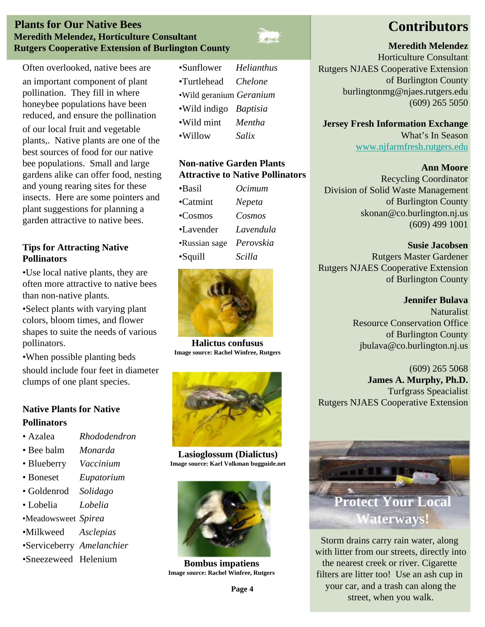#### **Plants for Our Native Bees Meredith Melendez, Horticulture Consultant Rutgers Cooperative Extension of Burlington County**



Often overlooked, native bees are an important component of plant pollination. They fill in where honeybee populations have been reduced, and ensure the pollination of our local fruit and vegetable plants,. Native plants are one of the

best sources of food for our native bee populations. Small and large gardens alike can offer food, nesting and young rearing sites for these insects. Here are some pointers and plant suggestions for planning a garden attractive to native bees.

#### **Tips for Attracting Native Pollinators**

•Use local native plants, they are often more attractive to native bees than non-native plants.

•Select plants with varying plant colors, bloom times, and flower shapes to suite the needs of various pollinators.

•When possible planting beds should include four feet in diameter clumps of one plant species.

## **Native Plants for Native Pollinators**

- Azalea *Rhododendron*
- Bee balm *Monarda*
- Blueberry *Vaccinium*
- Boneset *Eupatorium*
- Goldenrod *Solidago*
- Lobelia *Lobelia*
- •Meadowsweet *Spirea*
- •Milkweed *Asclepias*
- •Serviceberry *Amelanchier*
- •Sneezeweed Helenium

| •Sunflower              | <b>Helianthus</b> |
|-------------------------|-------------------|
| •Turtlehead             | <i>Chelone</i>    |
| ·Wild geranium Geranium |                   |
| .Wild indigo Baptisia   |                   |
| •Wild mint              | Mentha            |

•Willow *Salix*

#### **Non-native Garden Plants Attractive to Native Pollinators**

| •Basil            | Ocimum    |
|-------------------|-----------|
| $\bullet$ Catmint | Nepeta    |
| $\sim$ Cosmos     | Cosmos    |
| •Lavender         | Lavendula |
| •Russian sage     | Perovskia |
| $-Squill$         | Scilla    |



**Halictus confusus Image source: Rachel Winfree, Rutgers**



**Lasioglossum (Dialictus) Image source: Karl Volkman bugguide.net**



**Bombus impatiens Image source: Rachel Winfree, Rutgers**

#### **Meredith Melendez**

Horticulture Consultant Rutgers NJAES Cooperative Extension of Burlington County burlingtonmg@njaes.rutgers.edu (609) 265 5050

**Jersey Fresh Information Exchange** What's In Season [www.njfarmfresh.rutgers.edu](http://www.njfarmfresh.rutgers.edu/)

#### **Ann Moore**

Recycling Coordinator Division of Solid Waste Management of Burlington County skonan@co.burlington.nj.us (609) 499 1001

**Susie Jacobsen** Rutgers Master Gardener Rutgers NJAES Cooperative Extension of Burlington County

> **Jennifer Bulava Naturalist** Resource Conservation Office of Burlington County jbulava@co.burlington.nj.us

(609) 265 5068 **James A. Murphy, Ph.D.** Turfgrass Speacialist Rutgers NJAES Cooperative Extension



Storm drains carry rain water, along with litter from our streets, directly into the nearest creek or river. Cigarette filters are litter too! Use an ash cup in your car, and a trash can along the street, when you walk.

#### **Page 4**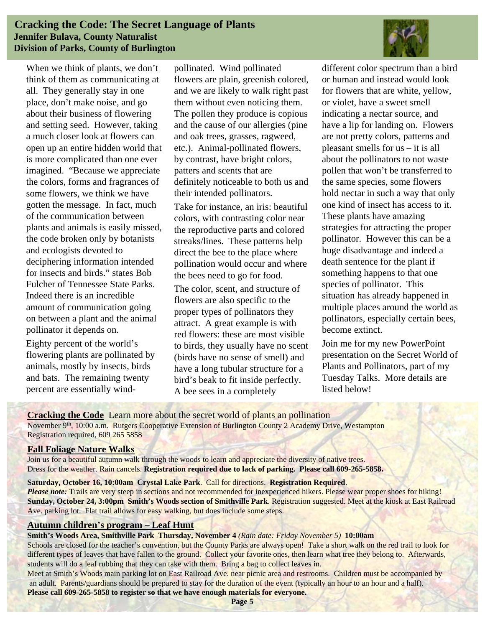#### **Cracking the Code: The Secret Language of Plants Jennifer Bulava, County Naturalist Division of Parks, County of Burlington**

When we think of plants, we don't think of them as communicating at all. They generally stay in one place, don't make noise, and go about their business of flowering and setting seed. However, taking a much closer look at flowers can open up an entire hidden world that is more complicated than one ever imagined. "Because we appreciate the colors, forms and fragrances of some flowers, we think we have gotten the message. In fact, much of the communication between plants and animals is easily missed, the code broken only by botanists and ecologists devoted to deciphering information intended for insects and birds." states Bob Fulcher of Tennessee State Parks. Indeed there is an incredible amount of communication going on between a plant and the animal pollinator it depends on.

Eighty percent of the world's flowering plants are pollinated by animals, mostly by insects, birds and bats. The remaining twenty percent are essentially windpollinated. Wind pollinated flowers are plain, greenish colored, and we are likely to walk right past them without even noticing them. The pollen they produce is copious and the cause of our allergies (pine and oak trees, grasses, ragweed, etc.). Animal-pollinated flowers, by contrast, have bright colors, patters and scents that are definitely noticeable to both us and their intended pollinators.

Take for instance, an iris: beautiful colors, with contrasting color near the reproductive parts and colored streaks/lines. These patterns help direct the bee to the place where pollination would occur and where the bees need to go for food.

The color, scent, and structure of flowers are also specific to the proper types of pollinators they attract. A great example is with red flowers: these are most visible to birds, they usually have no scent (birds have no sense of smell) and have a long tubular structure for a bird's beak to fit inside perfectly. A bee sees in a completely



different color spectrum than a bird or human and instead would look for flowers that are white, yellow, or violet, have a sweet smell indicating a nectar source, and have a lip for landing on. Flowers are not pretty colors, patterns and pleasant smells for us – it is all about the pollinators to not waste pollen that won't be transferred to the same species, some flowers hold nectar in such a way that only one kind of insect has access to it. These plants have amazing strategies for attracting the proper pollinator. However this can be a huge disadvantage and indeed a death sentence for the plant if something happens to that one species of pollinator. This situation has already happened in multiple places around the world as pollinators, especially certain bees, become extinct.

Join me for my new PowerPoint presentation on the Secret World of Plants and Pollinators, part of my Tuesday Talks. More details are listed below!

**Cracking the Code** Learn more about the secret world of plants an pollination November 9<sup>th</sup>, 10:00 a.m. Rutgers Cooperative Extension of Burlington County 2 Academy Drive, Westampton Registration required, 609 265 5858

#### **Fall Foliage Nature Walks**

Join us for a beautiful autumn walk through the woods to learn and appreciate the diversity of native trees. Dress for the weather. Rain cancels. **Registration required due to lack of parking. Please call 609-265-5858.**

**Saturday, October 16, 10:00am Crystal Lake Park**. Call for directions. **Registration Required**.

*Please note:* Trails are very steep in sections and not recommended for inexperienced hikers. Please wear proper shoes for hiking! **Sunday, October 24, 3:00pm Smith's Woods section of Smithville Park**. Registration suggested. Meet at the kiosk at East Railroad Ave. parking lot. Flat trail allows for easy walking, but does include some steps.

#### **Autumn children's program – Leaf Hunt**

#### **Smith's Woods Area, Smithville Park Thursday, November 4** *(Rain date: Friday November 5)* **10:00am**

Schools are closed for the teacher's convention, but the County Parks are always open! Take a short walk on the red trail to look for different types of leaves that have fallen to the ground. Collect your favorite ones, then learn what tree they belong to. Afterwards, students will do a leaf rubbing that they can take with them. Bring a bag to collect leaves in.

Meet at Smith's Woods main parking lot on East Railroad Ave. near picnic area and restrooms. Children must be accompanied by an adult. Parents/guardians should be prepared to stay for the duration of the event (typically an hour to an hour and a half). **Please call 609-265-5858 to register so that we have enough materials for everyone.**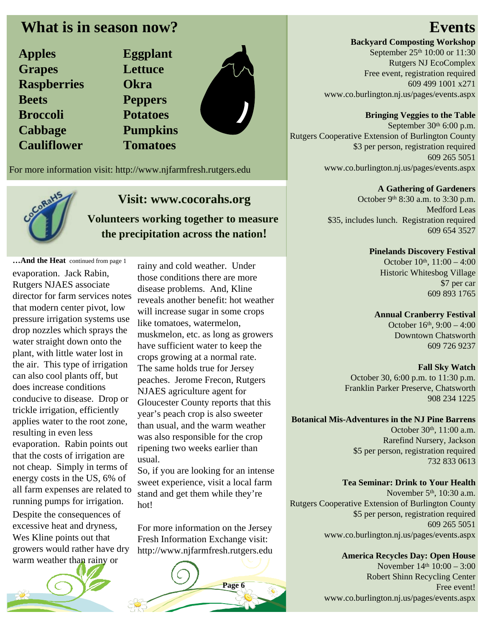# **What is in season now?**

| <b>Apples</b>      |
|--------------------|
| <b>Grapes</b>      |
| <b>Raspberries</b> |
| <b>Beets</b>       |
| <b>Broccoli</b>    |
| <b>Cabbage</b>     |
| <b>Cauliflower</b> |

**Apples Eggplant Grapes Lettuce Okra Peppers Broccoli Potatoes Pumpkins Cauliflower Tomatoes**

For more information visit: http://www.njfarmfresh.rutgers.edu



# **Visit: www.cocorahs.org**

**Volunteers working together to measure the precipitation across the nation!**

**…And the Heat** continued from page 1 evaporation. Jack Rabin, Rutgers NJAES associate director for farm services notes that modern center pivot, low pressure irrigation systems use drop nozzles which sprays the water straight down onto the plant, with little water lost in the air. This type of irrigation can also cool plants off, but does increase conditions conducive to disease. Drop or trickle irrigation, efficiently applies water to the root zone, resulting in even less evaporation. Rabin points out that the costs of irrigation are not cheap. Simply in terms of energy costs in the US, 6% of all farm expenses are related to running pumps for irrigation. Despite the consequences of excessive heat and dryness, Wes Kline points out that growers would rather have dry warm weather than rainy or

rainy and cold weather. Under those conditions there are more disease problems. And, Kline reveals another benefit: hot weather will increase sugar in some crops like tomatoes, watermelon, muskmelon, etc. as long as growers have sufficient water to keep the crops growing at a normal rate. The same holds true for Jersey peaches. Jerome Frecon, Rutgers NJAES agriculture agent for Gloucester County reports that this year's peach crop is also sweeter than usual, and the warm weather was also responsible for the crop ripening two weeks earlier than usual.

So, if you are looking for an intense sweet experience, visit a local farm stand and get them while they're hot!

For more information on the Jersey Fresh Information Exchange visit: http://www.njfarmfresh.rutgers.edu



# **Events**

**Backyard Composting Workshop** September 25<sup>th</sup> 10:00 or 11:30 Rutgers NJ EcoComplex Free event, registration required 609 499 1001 x271 www.co.burlington.nj.us/pages/events.aspx

## **Bringing Veggies to the Table**

September 30<sup>th</sup> 6:00 p.m. Rutgers Cooperative Extension of Burlington County \$3 per person, registration required 609 265 5051 www.co.burlington.nj.us/pages/events.aspx

#### **A Gathering of Gardeners**

October 9th 8:30 a.m. to 3:30 p.m. Medford Leas \$35, includes lunch. Registration required 609 654 3527

#### **Pinelands Discovery Festival**

October 10th, 11:00 - 4:00 Historic Whitesbog Village \$7 per car 609 893 1765

#### **Annual Cranberry Festival**

October 16th, 9:00 – 4:00 Downtown Chatsworth 609 726 9237

### **Fall Sky Watch**

October 30, 6:00 p.m. to 11:30 p.m. Franklin Parker Preserve, Chatsworth 908 234 1225

#### **Botanical Mis-Adventures in the NJ Pine Barrens**

October 30<sup>th</sup>, 11:00 a.m. Rarefind Nursery, Jackson \$5 per person, registration required 732 833 0613

### **Tea Seminar: Drink to Your Health**

November 5<sup>th</sup>, 10:30 a.m. Rutgers Cooperative Extension of Burlington County \$5 per person, registration required 609 265 5051 www.co.burlington.nj.us/pages/events.aspx

# **America Recycles Day: Open House**

November 14<sup>th</sup> 10:00 – 3:00 Robert Shinn Recycling Center Free event! www.co.burlington.nj.us/pages/events.aspx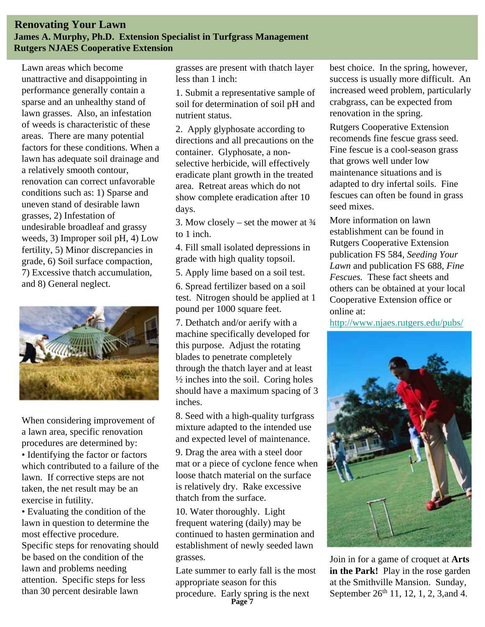#### **Renovating Your Lawn James A. Murphy, Ph.D. Extension Specialist in Turfgrass Management Rutgers NJAES Cooperative Extension**

Lawn areas which become unattractive and disappointing in performance generally contain a sparse and an unhealthy stand of lawn grasses. Also, an infestation of weeds is characteristic of these areas. There are many potential factors for these conditions. When a lawn has adequate soil drainage and a relatively smooth contour, renovation can correct unfavorable conditions such as: 1) Sparse and uneven stand of desirable lawn grasses, 2) Infestation of undesirable broadleaf and grassy weeds, 3) Improper soil pH, 4) Low fertility, 5) Minor discrepancies in grade, 6) Soil surface compaction, 7) Excessive thatch accumulation, and 8) General neglect.



When considering improvement of a lawn area, specific renovation procedures are determined by:

• Identifying the factor or factors which contributed to a failure of the lawn. If corrective steps are not taken, the net result may be an exercise in futility.

• Evaluating the condition of the lawn in question to determine the most effective procedure. Specific steps for renovating should be based on the condition of the lawn and problems needing attention. Specific steps for less than 30 percent desirable lawn

grasses are present with thatch layer less than 1 inch:

1. Submit a representative sample of soil for determination of soil pH and nutrient status.

2. Apply glyphosate according to directions and all precautions on the container. Glyphosate, a nonselective herbicide, will effectively eradicate plant growth in the treated area. Retreat areas which do not show complete eradication after 10 days.

3. Mow closely – set the mower at  $\frac{3}{4}$ to 1 inch.

4. Fill small isolated depressions in grade with high quality topsoil.

5. Apply lime based on a soil test.

6. Spread fertilizer based on a soil test. Nitrogen should be applied at 1 pound per 1000 square feet.

7. Dethatch and/or aerify with a machine specifically developed for this purpose. Adjust the rotating blades to penetrate completely through the thatch layer and at least  $\frac{1}{2}$  inches into the soil. Coring holes should have a maximum spacing of 3 inches.

8. Seed with a high-quality turfgrass mixture adapted to the intended use and expected level of maintenance.

9. Drag the area with a steel door mat or a piece of cyclone fence when loose thatch material on the surface is relatively dry. Rake excessive thatch from the surface.

10. Water thoroughly. Light frequent watering (daily) may be continued to hasten germination and establishment of newly seeded lawn grasses.

Late summer to early fall is the most appropriate season for this

procedure. Early spring is the next **Page 7**

best choice. In the spring, however, success is usually more difficult. An increased weed problem, particularly crabgrass, can be expected from renovation in the spring.

Rutgers Cooperative Extension recomends fine fescue grass seed. Fine fescue is a cool-season grass that grows well under low maintenance situations and is adapted to dry infertal soils. Fine fescues can often be found in grass seed mixes.

More information on lawn establishment can be found in Rutgers Cooperative Extension publication FS 584, *Seeding Your Lawn* and publication FS 688, *Fine Fescues.* These fact sheets and others can be obtained at your local Cooperative Extension office or online at:

<http://www.njaes.rutgers.edu/pubs/>



Join in for a game of croquet at **Arts in the Park!** Play in the rose garden at the Smithville Mansion. Sunday, September 26<sup>th</sup> 11, 12, 1, 2, 3, and 4.